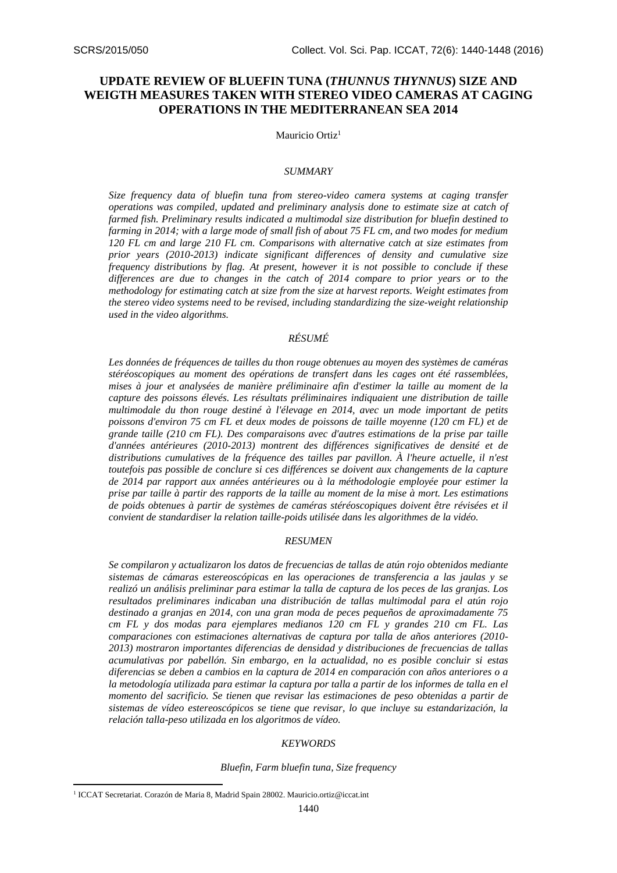# **UPDATE REVIEW OF BLUEFIN TUNA (***THUNNUS THYNNUS***) SIZE AND WEIGTH MEASURES TAKEN WITH STEREO VIDEO CAMERAS AT CAGING OPERATIONS IN THE MEDITERRANEAN SEA 2014**

Mauricio Ortiz<sup>1</sup>

# *SUMMARY*

*Size frequency data of bluefin tuna from stereo-video camera systems at caging transfer operations was compiled, updated and preliminary analysis done to estimate size at catch of farmed fish. Preliminary results indicated a multimodal size distribution for bluefin destined to farming in 2014; with a large mode of small fish of about 75 FL cm, and two modes for medium 120 FL cm and large 210 FL cm. Comparisons with alternative catch at size estimates from prior years (2010-2013) indicate significant differences of density and cumulative size frequency distributions by flag. At present, however it is not possible to conclude if these differences are due to changes in the catch of 2014 compare to prior years or to the methodology for estimating catch at size from the size at harvest reports. Weight estimates from the stereo video systems need to be revised, including standardizing the size-weight relationship used in the video algorithms.*

# *RÉSUMÉ*

*Les données de fréquences de tailles du thon rouge obtenues au moyen des systèmes de caméras stéréoscopiques au moment des opérations de transfert dans les cages ont été rassemblées, mises à jour et analysées de manière préliminaire afin d'estimer la taille au moment de la capture des poissons élevés. Les résultats préliminaires indiquaient une distribution de taille multimodale du thon rouge destiné à l'élevage en 2014, avec un mode important de petits poissons d'environ 75 cm FL et deux modes de poissons de taille moyenne (120 cm FL) et de grande taille (210 cm FL). Des comparaisons avec d'autres estimations de la prise par taille d'années antérieures (2010-2013) montrent des différences significatives de densité et de distributions cumulatives de la fréquence des tailles par pavillon. À l'heure actuelle, il n'est toutefois pas possible de conclure si ces différences se doivent aux changements de la capture de 2014 par rapport aux années antérieures ou à la méthodologie employée pour estimer la prise par taille à partir des rapports de la taille au moment de la mise à mort. Les estimations de poids obtenues à partir de systèmes de caméras stéréoscopiques doivent être révisées et il convient de standardiser la relation taille-poids utilisée dans les algorithmes de la vidéo.*

# *RESUMEN*

*Se compilaron y actualizaron los datos de frecuencias de tallas de atún rojo obtenidos mediante sistemas de cámaras estereoscópicas en las operaciones de transferencia a las jaulas y se realizó un análisis preliminar para estimar la talla de captura de los peces de las granjas. Los resultados preliminares indicaban una distribución de tallas multimodal para el atún rojo destinado a granjas en 2014, con una gran moda de peces pequeños de aproximadamente 75 cm FL y dos modas para ejemplares medianos 120 cm FL y grandes 210 cm FL. Las comparaciones con estimaciones alternativas de captura por talla de años anteriores (2010- 2013) mostraron importantes diferencias de densidad y distribuciones de frecuencias de tallas acumulativas por pabellón. Sin embargo, en la actualidad, no es posible concluir si estas diferencias se deben a cambios en la captura de 2014 en comparación con años anteriores o a la metodología utilizada para estimar la captura por talla a partir de los informes de talla en el momento del sacrificio. Se tienen que revisar las estimaciones de peso obtenidas a partir de sistemas de vídeo estereoscópicos se tiene que revisar, lo que incluye su estandarización, la relación talla-peso utilizada en los algoritmos de vídeo.*

#### *KEYWORDS*

*Bluefin, Farm bluefin tuna, Size frequency*

**.** 

<sup>&</sup>lt;sup>1</sup> ICCAT Secretariat. Corazón de Maria 8, Madrid Spain 28002. [Mauricio.ortiz@iccat.int](mailto:Mauricio.ortiz@iccat.int)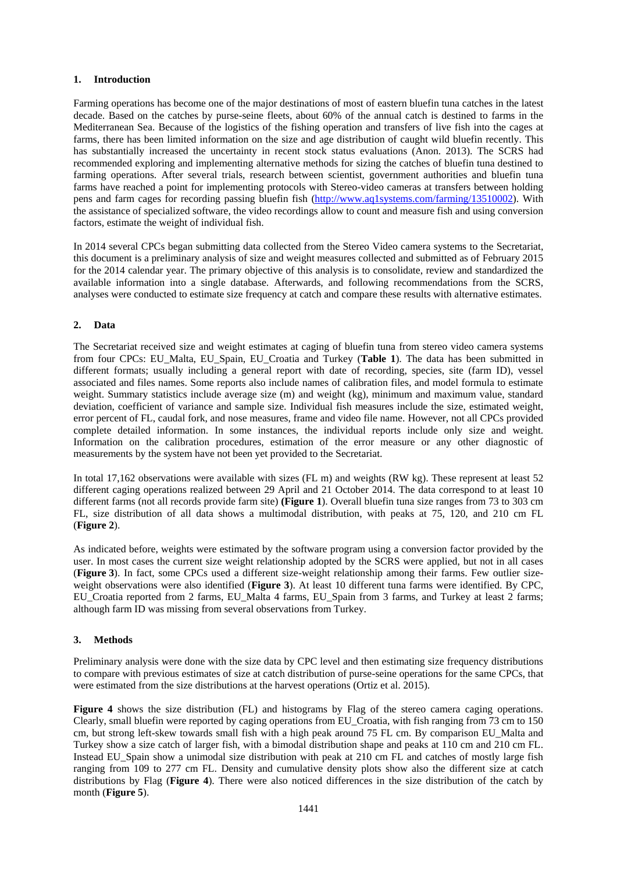# **1. Introduction**

Farming operations has become one of the major destinations of most of eastern bluefin tuna catches in the latest decade. Based on the catches by purse-seine fleets, about 60% of the annual catch is destined to farms in the Mediterranean Sea. Because of the logistics of the fishing operation and transfers of live fish into the cages at farms, there has been limited information on the size and age distribution of caught wild bluefin recently. This has substantially increased the uncertainty in recent stock status evaluations (Anon. 2013). The SCRS had recommended exploring and implementing alternative methods for sizing the catches of bluefin tuna destined to farming operations. After several trials, research between scientist, government authorities and bluefin tuna farms have reached a point for implementing protocols with Stereo-video cameras at transfers between holding pens and farm cages for recording passing bluefin fish [\(http://www.aq1systems.com/farming/13510002\)](http://www.aq1systems.com/farming/13510002). With the assistance of specialized software, the video recordings allow to count and measure fish and using conversion factors, estimate the weight of individual fish.

In 2014 several CPCs began submitting data collected from the Stereo Video camera systems to the Secretariat, this document is a preliminary analysis of size and weight measures collected and submitted as of February 2015 for the 2014 calendar year. The primary objective of this analysis is to consolidate, review and standardized the available information into a single database. Afterwards, and following recommendations from the SCRS, analyses were conducted to estimate size frequency at catch and compare these results with alternative estimates.

# **2. Data**

The Secretariat received size and weight estimates at caging of bluefin tuna from stereo video camera systems from four CPCs: EU\_Malta, EU\_Spain, EU\_Croatia and Turkey (**Table 1**). The data has been submitted in different formats; usually including a general report with date of recording, species, site (farm ID), vessel associated and files names. Some reports also include names of calibration files, and model formula to estimate weight. Summary statistics include average size (m) and weight (kg), minimum and maximum value, standard deviation, coefficient of variance and sample size. Individual fish measures include the size, estimated weight, error percent of FL, caudal fork, and nose measures, frame and video file name. However, not all CPCs provided complete detailed information. In some instances, the individual reports include only size and weight. Information on the calibration procedures, estimation of the error measure or any other diagnostic of measurements by the system have not been yet provided to the Secretariat.

In total 17,162 observations were available with sizes (FL m) and weights (RW kg). These represent at least 52 different caging operations realized between 29 April and 21 October 2014. The data correspond to at least 10 different farms (not all records provide farm site) **(Figure 1**). Overall bluefin tuna size ranges from 73 to 303 cm FL, size distribution of all data shows a multimodal distribution, with peaks at 75, 120, and 210 cm FL (**Figure 2**).

As indicated before, weights were estimated by the software program using a conversion factor provided by the user. In most cases the current size weight relationship adopted by the SCRS were applied, but not in all cases (**Figure 3**). In fact, some CPCs used a different size-weight relationship among their farms. Few outlier sizeweight observations were also identified (**Figure 3**). At least 10 different tuna farms were identified. By CPC, EU\_Croatia reported from 2 farms, EU\_Malta 4 farms, EU\_Spain from 3 farms, and Turkey at least 2 farms; although farm ID was missing from several observations from Turkey.

# **3. Methods**

Preliminary analysis were done with the size data by CPC level and then estimating size frequency distributions to compare with previous estimates of size at catch distribution of purse-seine operations for the same CPCs, that were estimated from the size distributions at the harvest operations (Ortiz et al. 2015).

**Figure 4** shows the size distribution (FL) and histograms by Flag of the stereo camera caging operations. Clearly, small bluefin were reported by caging operations from EU\_Croatia, with fish ranging from 73 cm to 150 cm, but strong left-skew towards small fish with a high peak around 75 FL cm. By comparison EU\_Malta and Turkey show a size catch of larger fish, with a bimodal distribution shape and peaks at 110 cm and 210 cm FL. Instead EU\_Spain show a unimodal size distribution with peak at 210 cm FL and catches of mostly large fish ranging from 109 to 277 cm FL. Density and cumulative density plots show also the different size at catch distributions by Flag (**Figure 4**). There were also noticed differences in the size distribution of the catch by month (**Figure 5**).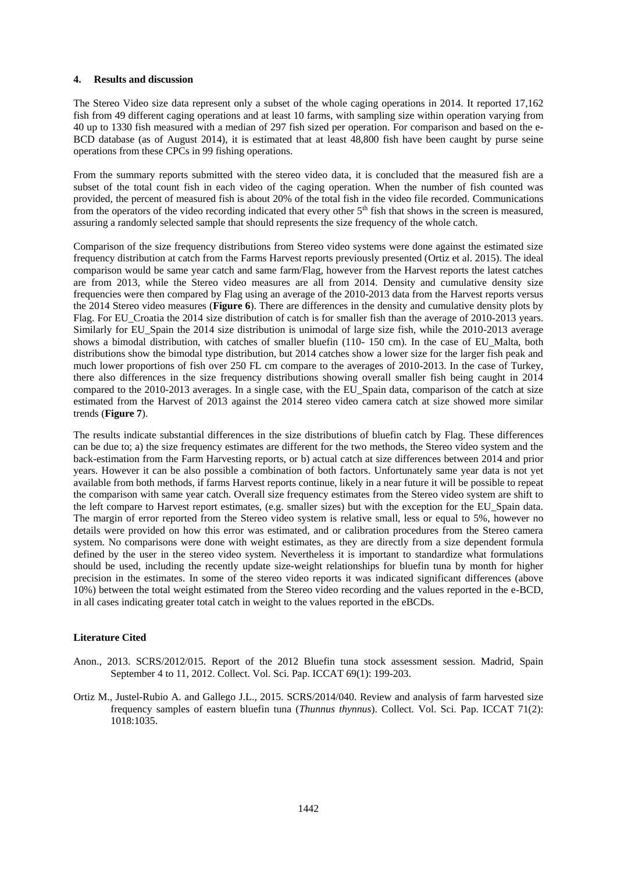# **4. Results and discussion**

The Stereo Video size data represent only a subset of the whole caging operations in 2014. It reported 17,162 fish from 49 different caging operations and at least 10 farms, with sampling size within operation varying from 40 up to 1330 fish measured with a median of 297 fish sized per operation. For comparison and based on the e-BCD database (as of August 2014), it is estimated that at least 48,800 fish have been caught by purse seine operations from these CPCs in 99 fishing operations.

From the summary reports submitted with the stereo video data, it is concluded that the measured fish are a subset of the total count fish in each video of the caging operation. When the number of fish counted was provided, the percent of measured fish is about 20% of the total fish in the video file recorded. Communications from the operators of the video recording indicated that every other 5<sup>th</sup> fish that shows in the screen is measured, assuring a randomly selected sample that should represents the size frequency of the whole catch.

Comparison of the size frequency distributions from Stereo video systems were done against the estimated size frequency distribution at catch from the Farms Harvest reports previously presented (Ortiz et al. 2015). The ideal comparison would be same year catch and same farm/Flag, however from the Harvest reports the latest catches are from 2013, while the Stereo video measures are all from 2014. Density and cumulative density size frequencies were then compared by Flag using an average of the 2010-2013 data from the Harvest reports versus the 2014 Stereo video measures (**Figure 6**). There are differences in the density and cumulative density plots by Flag. For EU\_Croatia the 2014 size distribution of catch is for smaller fish than the average of 2010-2013 years. Similarly for EU\_Spain the 2014 size distribution is unimodal of large size fish, while the 2010-2013 average shows a bimodal distribution, with catches of smaller bluefin (110- 150 cm). In the case of EU Malta, both distributions show the bimodal type distribution, but 2014 catches show a lower size for the larger fish peak and much lower proportions of fish over 250 FL cm compare to the averages of 2010-2013. In the case of Turkey, there also differences in the size frequency distributions showing overall smaller fish being caught in 2014 compared to the 2010-2013 averages. In a single case, with the EU\_Spain data, comparison of the catch at size estimated from the Harvest of 2013 against the 2014 stereo video camera catch at size showed more similar trends (**Figure 7**).

The results indicate substantial differences in the size distributions of bluefin catch by Flag. These differences can be due to; a) the size frequency estimates are different for the two methods, the Stereo video system and the back-estimation from the Farm Harvesting reports, or b) actual catch at size differences between 2014 and prior years. However it can be also possible a combination of both factors. Unfortunately same year data is not yet available from both methods, if farms Harvest reports continue, likely in a near future it will be possible to repeat the comparison with same year catch. Overall size frequency estimates from the Stereo video system are shift to the left compare to Harvest report estimates, (e.g. smaller sizes) but with the exception for the EU\_Spain data. The margin of error reported from the Stereo video system is relative small, less or equal to 5%, however no details were provided on how this error was estimated, and or calibration procedures from the Stereo camera system. No comparisons were done with weight estimates, as they are directly from a size dependent formula defined by the user in the stereo video system. Nevertheless it is important to standardize what formulations should be used, including the recently update size-weight relationships for bluefin tuna by month for higher precision in the estimates. In some of the stereo video reports it was indicated significant differences (above 10%) between the total weight estimated from the Stereo video recording and the values reported in the e-BCD, in all cases indicating greater total catch in weight to the values reported in the eBCDs.

# **Literature Cited**

- Anon., 2013. SCRS/2012/015. Report of the 2012 Bluefin tuna stock assessment session. Madrid, Spain September 4 to 11, 2012. Collect. Vol. Sci. Pap. ICCAT 69(1): 199-203.
- Ortiz M., Justel-Rubio A. and Gallego J.L., 2015. SCRS/2014/040. Review and analysis of farm harvested size frequency samples of eastern bluefin tuna (*Thunnus thynnus*). Collect. Vol. Sci. Pap. ICCAT 71(2): 1018:1035.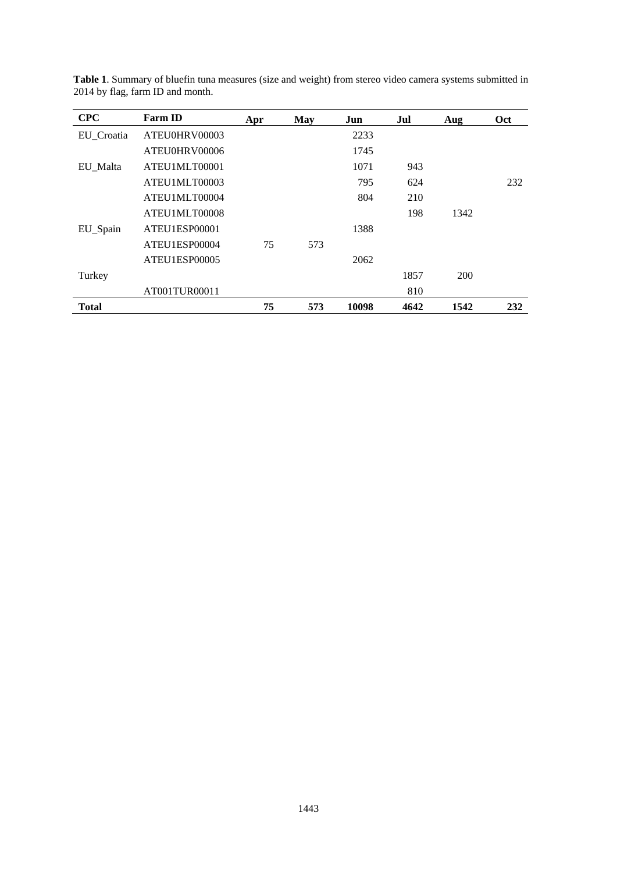| <b>CPC</b>   | <b>Farm ID</b> | Apr | May | Jun   | Jul  | Aug  | Oct |
|--------------|----------------|-----|-----|-------|------|------|-----|
| EU Croatia   | ATEU0HRV00003  |     |     | 2233  |      |      |     |
|              | ATEU0HRV00006  |     |     | 1745  |      |      |     |
| EU Malta     | ATEU1MLT00001  |     |     | 1071  | 943  |      |     |
|              | ATEU1MLT00003  |     |     | 795   | 624  |      | 232 |
|              | ATEU1MLT00004  |     |     | 804   | 210  |      |     |
|              | ATEU1MLT00008  |     |     |       | 198  | 1342 |     |
| EU_Spain     | ATEU1ESP00001  |     |     | 1388  |      |      |     |
|              | ATEU1ESP00004  | 75  | 573 |       |      |      |     |
|              | ATEU1ESP00005  |     |     | 2062  |      |      |     |
| Turkey       |                |     |     |       | 1857 | 200  |     |
|              | AT001TUR00011  |     |     |       | 810  |      |     |
| <b>Total</b> |                | 75  | 573 | 10098 | 4642 | 1542 | 232 |

**Table 1**. Summary of bluefin tuna measures (size and weight) from stereo video camera systems submitted in 2014 by flag, farm ID and month.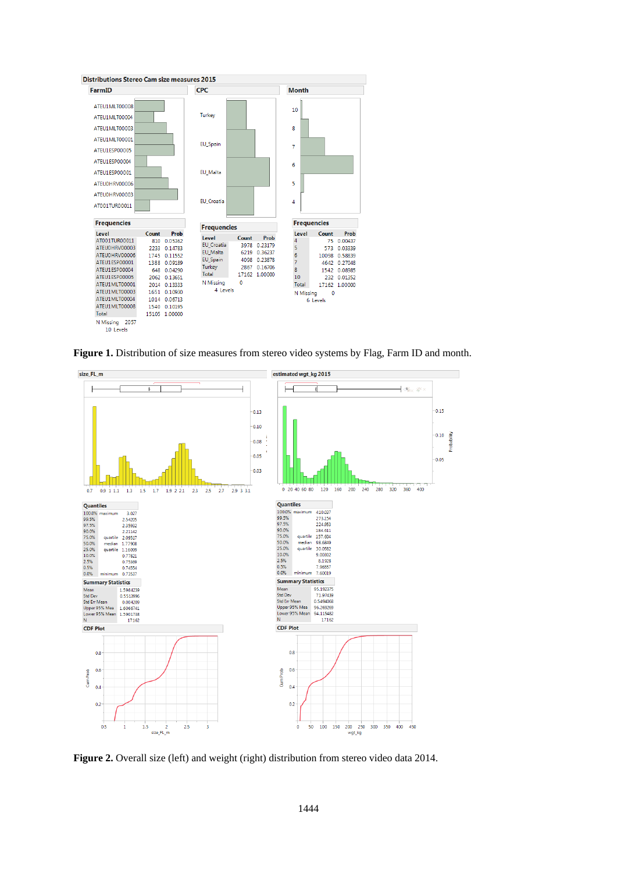

**Figure 1.** Distribution of size measures from stereo video systems by Flag, Farm ID and month.



**Figure 2.** Overall size (left) and weight (right) distribution from stereo video data 2014.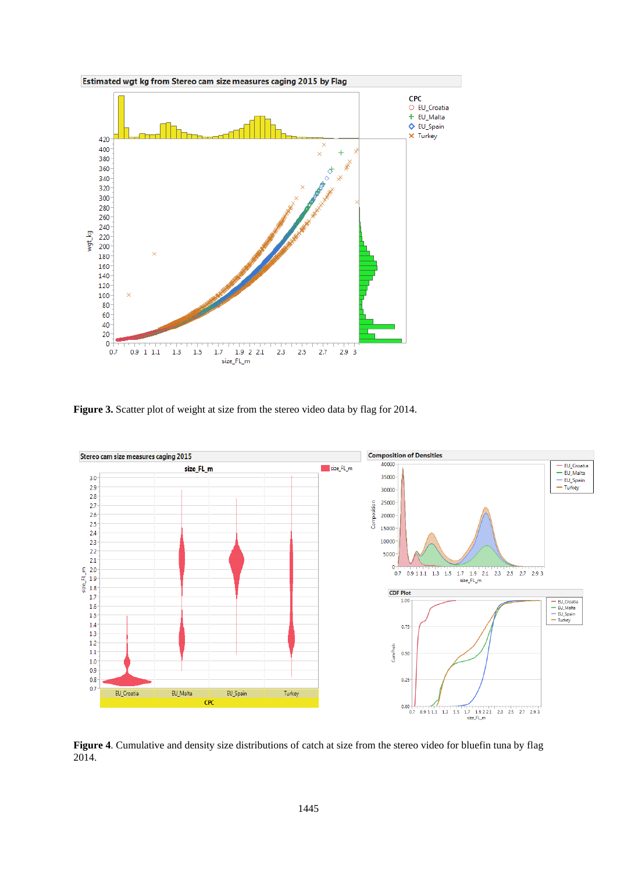

**Figure 3.** Scatter plot of weight at size from the stereo video data by flag for 2014.



**Figure 4**. Cumulative and density size distributions of catch at size from the stereo video for bluefin tuna by flag 2014.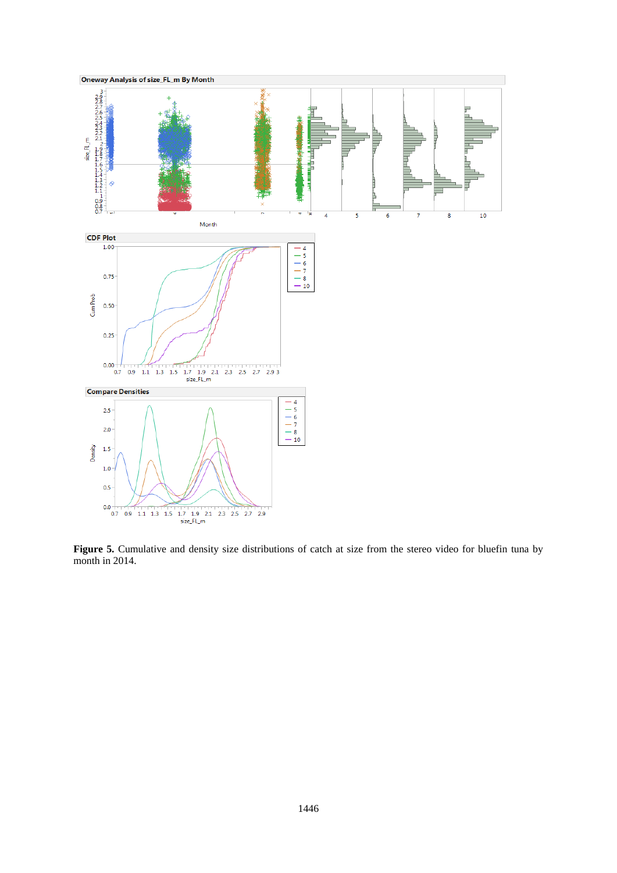

**Figure 5.** Cumulative and density size distributions of catch at size from the stereo video for bluefin tuna by month in 2014.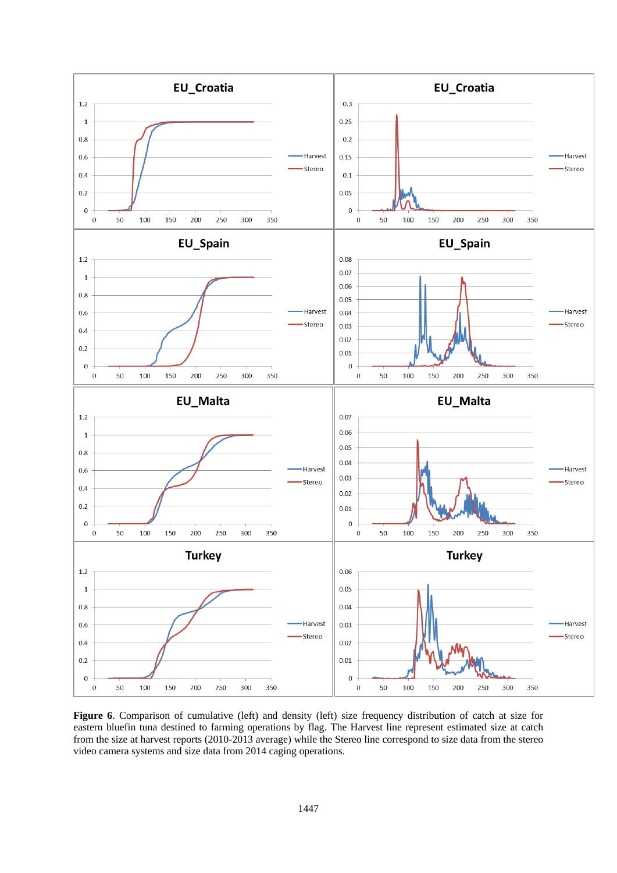

**Figure 6.** Comparison of cumulative (left) and density (left) size frequency distribution of catch at size for eastern bluefin tuna destined to farming operations by flag. The Harvest line represent estimated size at catch from the size at harvest reports (2010-2013 average) while the Stereo line correspond to size data from the stereo video camera systems and size data from 2014 caging operations.